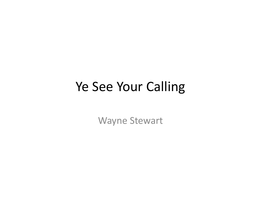## Ye See Your Calling

Wayne Stewart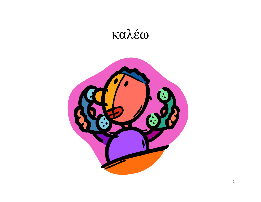

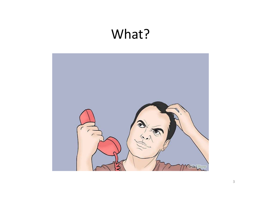## What?

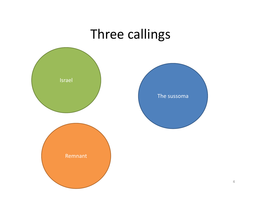## Three callings

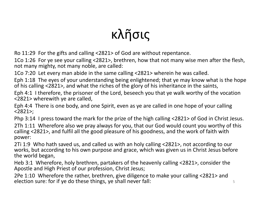## κλῆσις

Ro 11:29 For the gifts and calling <2821> of God are without repentance.

1Co 1:26 For ye see your calling <2821>, brethren, how that not many wise men after the flesh, not many mighty, not many noble, are called:

1Co 7:20 Let every man abide in the same calling <2821> wherein he was called.

Eph 1:18 The eyes of your understanding being enlightened; that ye may know what is the hope of his calling <2821>, and what the riches of the glory of his inheritance in the saints,

Eph 4:1 I therefore, the prisoner of the Lord, beseech you that ye walk worthy of the vocation <2821> wherewith ye are called,

Eph 4:4 There is one body, and one Spirit, even as ye are called in one hope of your calling <2821>;

Php 3:14 I press toward the mark for the prize of the high calling <2821> of God in Christ Jesus.

2Th 1:11 Wherefore also we pray always for you, that our God would count you worthy of this calling <2821>, and fulfil all the good pleasure of his goodness, and the work of faith with power:

2Ti 1:9 Who hath saved us, and called us with an holy calling <2821>, not according to our works, but according to his own purpose and grace, which was given us in Christ Jesus before the world began,

Heb 3:1 Wherefore, holy brethren, partakers of the heavenly calling <2821>, consider the Apostle and High Priest of our profession, Christ Jesus;

2Pe 1:10 Wherefore the rather, brethren, give diligence to make your calling <2821> and election sure: for if ye do these things, ye shall never fall:  $\qquad \qquad \qquad$  5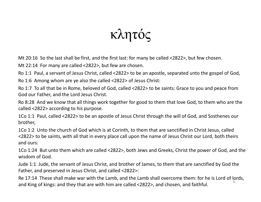κλητός

Mt 20:16 So the last shall be first, and the first last: for many be called <2822>, but few chosen.

Mt 22:14 For many are called <2822>, but few are chosen.

Ro 1:1 Paul, <sup>a</sup> servant of Jesus Christ, called <2822> to be an apostle, separated unto the gospel of God,

Ro 1:6 Among whom are ye also the called <2822> of Jesus Christ:

Ro 1:7 To all that be in Rome, beloved of God, called <2822> to be saints: Grace to you and peace from God our Father, and the Lord Jesus Christ.

Ro 8:28 And we know that all things work together for good to them that love God, to them who are the called <2822> according to his purpose.

1Co 1:1 Paul, called <2822> to be an apostle of Jesus Christ through the will of God, and Sosthenes our brother,

1Co 1:2 Unto the church of God which is at Corinth, to them that are sanctified in Christ Jesus, called <2822> to be saints, with all that in every place call upon the name of Jesus Christ our Lord, both theirs and ours:

1Co 1:24 But unto them which are called <2822>, both Jews and Greeks, Christ the power of God, and the wisdom of God.

Jude 1:1 Jude, the servant of Jesus Christ, and brother of James, to them that are sanctified by God the Father, and preserved in Jesus Christ, and called <2822>:

Re 17:14 These shall make war with the Lamb, and the Lamb shall overcome them: for he is Lord of lords, and King of kings: and they that are with him are called <2822>, and chosen, and faithful.  $^{\rm 6}$